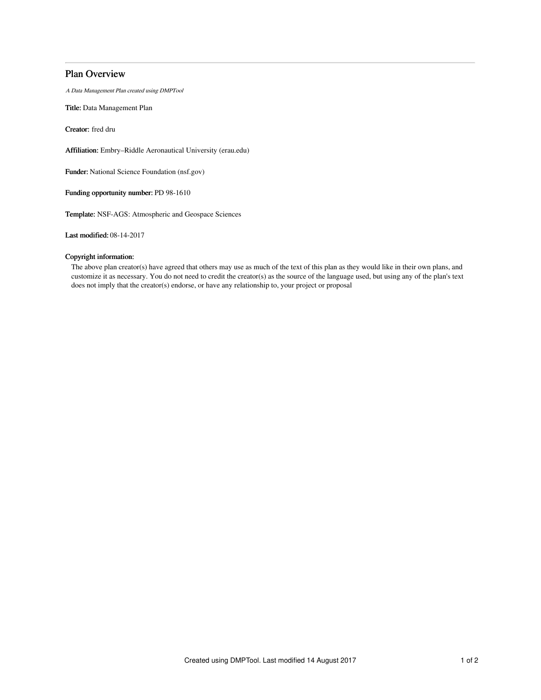# Plan Overview

A Data Management Plan created using DMPTool

Title: Data Management Plan

Creator: fred dru

Affiliation: Embry–Riddle Aeronautical University (erau.edu)

Funder: National Science Foundation (nsf.gov)

Funding opportunity number: PD 98-1610

Template: NSF-AGS: Atmospheric and Geospace Sciences

Last modified: 08-14-2017

## Copyright information:

The above plan creator(s) have agreed that others may use as much of the text of this plan as they would like in their own plans, and customize it as necessary. You do not need to credit the creator(s) as the source of the language used, but using any of the plan's text does not imply that the creator(s) endorse, or have any relationship to, your project or proposal